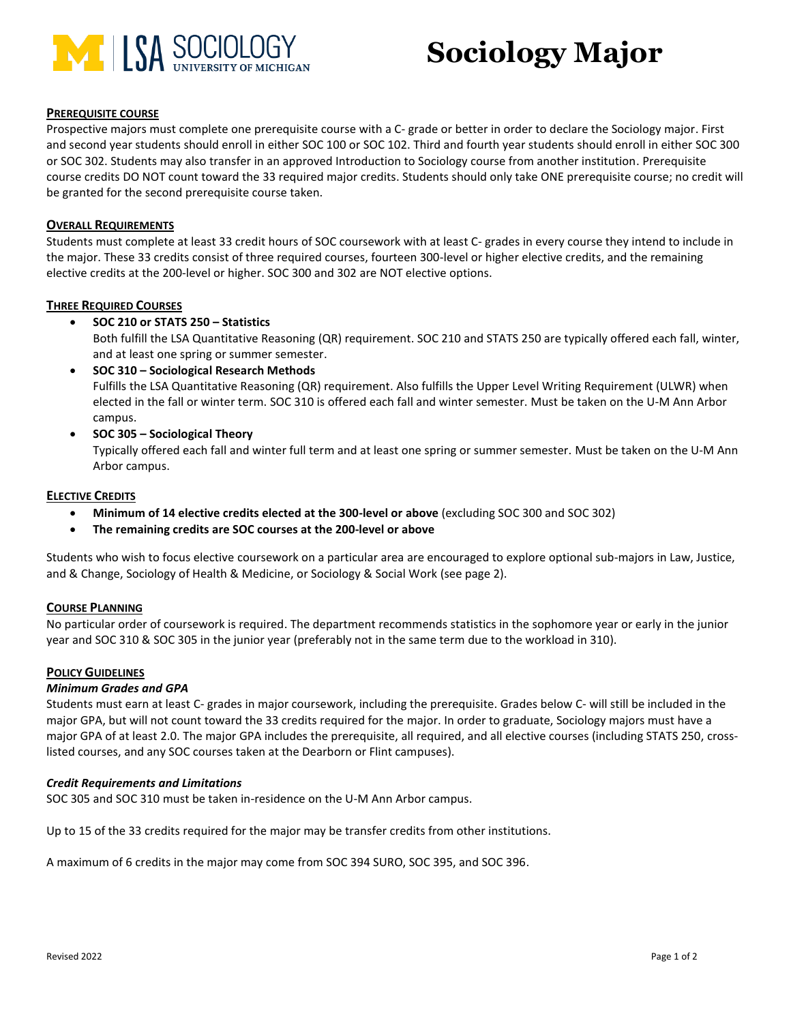

# **Sociology Major**

# **PREREQUISITE COURSE**

Prospective majors must complete one prerequisite course with a C- grade or better in order to declare the Sociology major. First and second year students should enroll in either SOC 100 or SOC 102. Third and fourth year students should enroll in either SOC 300 or SOC 302. Students may also transfer in an approved Introduction to Sociology course from another institution. Prerequisite course credits DO NOT count toward the 33 required major credits. Students should only take ONE prerequisite course; no credit will be granted for the second prerequisite course taken.

#### **OVERALL REQUIREMENTS**

Students must complete at least 33 credit hours of SOC coursework with at least C- grades in every course they intend to include in the major. These 33 credits consist of three required courses, fourteen 300-level or higher elective credits, and the remaining elective credits at the 200-level or higher. SOC 300 and 302 are NOT elective options.

#### **THREE REQUIRED COURSES**

# • **SOC 210 or STATS 250 – Statistics**

Both fulfill the LSA Quantitative Reasoning (QR) requirement. SOC 210 and STATS 250 are typically offered each fall, winter, and at least one spring or summer semester.

- **SOC 310 – Sociological Research Methods** Fulfills the LSA Quantitative Reasoning (QR) requirement. Also fulfills the Upper Level Writing Requirement (ULWR) when elected in the fall or winter term. SOC 310 is offered each fall and winter semester. Must be taken on the U-M Ann Arbor campus.
- **SOC 305 – Sociological Theory**

Typically offered each fall and winter full term and at least one spring or summer semester. Must be taken on the U-M Ann Arbor campus.

#### **ELECTIVE CREDITS**

- **Minimum of 14 elective credits elected at the 300-level or above** (excluding SOC 300 and SOC 302)
- **The remaining credits are SOC courses at the 200-level or above**

Students who wish to focus elective coursework on a particular area are encouraged to explore optional sub-majors in Law, Justice, and & Change, Sociology of Health & Medicine, or Sociology & Social Work (see page 2).

#### **COURSE PLANNING**

No particular order of coursework is required. The department recommends statistics in the sophomore year or early in the junior year and SOC 310 & SOC 305 in the junior year (preferably not in the same term due to the workload in 310).

#### **POLICY GUIDELINES**

#### *Minimum Grades and GPA*

Students must earn at least C- grades in major coursework, including the prerequisite. Grades below C- will still be included in the major GPA, but will not count toward the 33 credits required for the major. In order to graduate, Sociology majors must have a major GPA of at least 2.0. The major GPA includes the prerequisite, all required, and all elective courses (including STATS 250, crosslisted courses, and any SOC courses taken at the Dearborn or Flint campuses).

#### *Credit Requirements and Limitations*

SOC 305 and SOC 310 must be taken in-residence on the U-M Ann Arbor campus.

Up to 15 of the 33 credits required for the major may be transfer credits from other institutions.

A maximum of 6 credits in the major may come from SOC 394 SURO, SOC 395, and SOC 396.